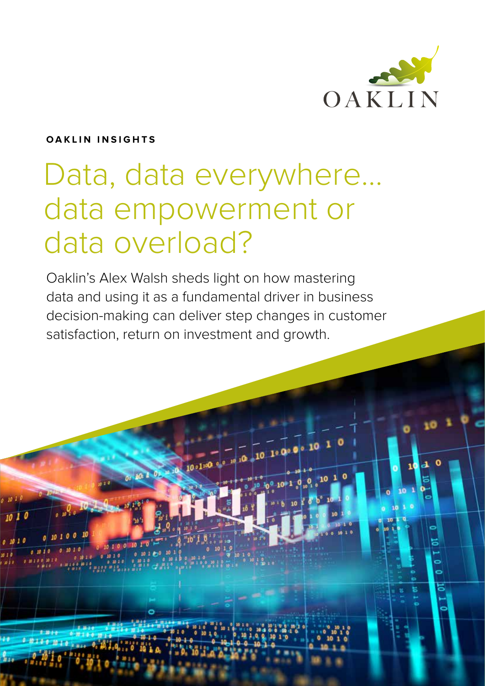

#### **OAKLIN INSIGHTS**

### Data, data everywhere… data empowerment or data overload?

Oaklin's Alex Walsh sheds light on how mastering data and using it as a fundamental driver in business decision-making can deliver step changes in customer satisfaction, return on investment and growth.

 $0.1010$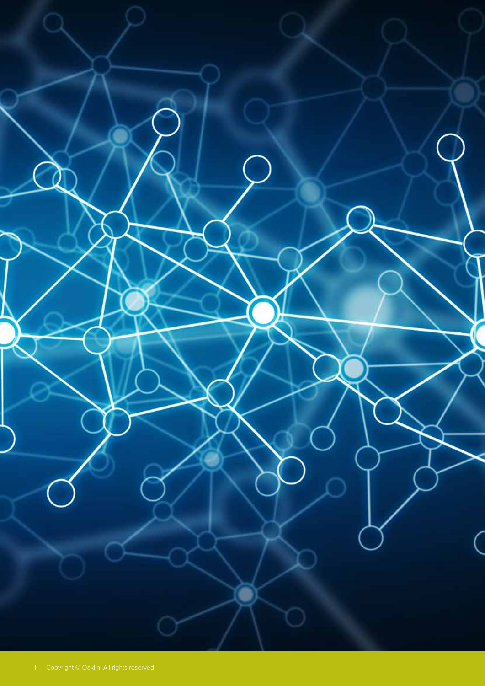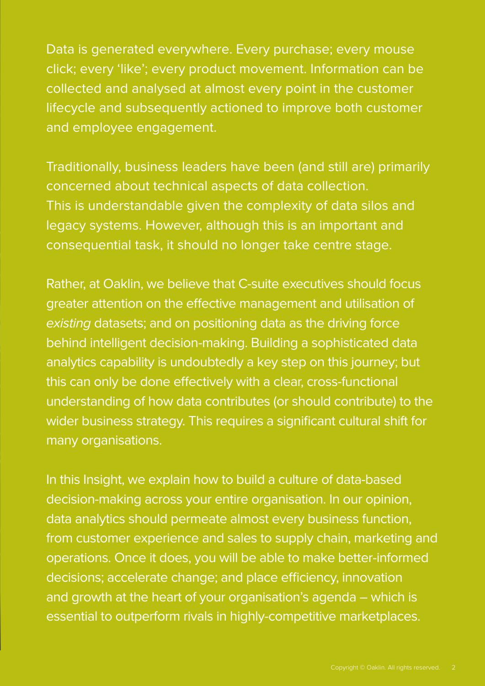Data is generated everywhere. Every purchase; every mouse click; every 'like'; every product movement. Information can be collected and analysed at almost every point in the customer lifecycle and subsequently actioned to improve both customer and employee engagement.

Traditionally, business leaders have been (and still are) primarily concerned about technical aspects of data collection. This is understandable given the complexity of data silos and legacy systems. However, although this is an important and consequential task, it should no longer take centre stage.

Rather, at Oaklin, we believe that C-suite executives should focus greater attention on the effective management and utilisation of existing datasets; and on positioning data as the driving force behind intelligent decision-making. Building a sophisticated data analytics capability is undoubtedly a key step on this journey; but this can only be done effectively with a clear, cross-functional understanding of how data contributes (or should contribute) to the wider business strategy. This requires a significant cultural shift for many organisations.

In this Insight, we explain how to build a culture of data-based decision-making across your entire organisation. In our opinion, data analytics should permeate almost every business function, from customer experience and sales to supply chain, marketing and operations. Once it does, you will be able to make better-informed decisions; accelerate change; and place efficiency, innovation and growth at the heart of your organisation's agenda – which is essential to outperform rivals in highly-competitive marketplaces.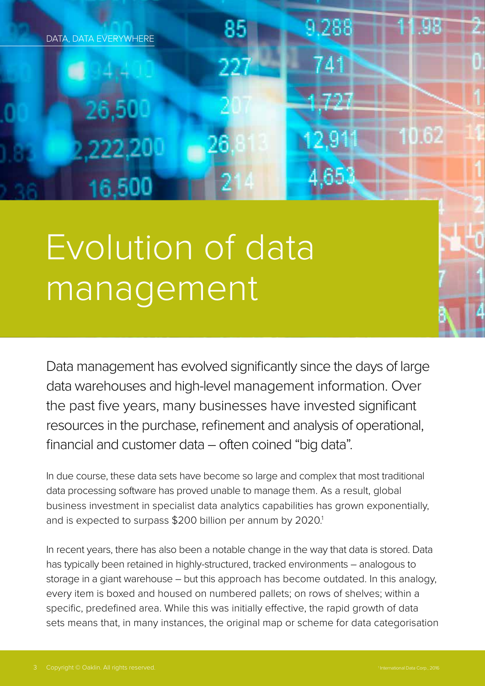DATA, DATA EVERYWHERE

16,500

### Evolution of data management

Data management has evolved significantly since the days of large data warehouses and high-level management information. Over the past five years, many businesses have invested significant resources in the purchase, refinement and analysis of operational, financial and customer data – often coined "big data".

In due course, these data sets have become so large and complex that most traditional data processing software has proved unable to manage them. As a result, global business investment in specialist data analytics capabilities has grown exponentially, and is expected to surpass \$200 billion per annum by 2020.<sup>1</sup>

In recent years, there has also been a notable change in the way that data is stored. Data has typically been retained in highly-structured, tracked environments – analogous to storage in a giant warehouse – but this approach has become outdated. In this analogy, every item is boxed and housed on numbered pallets; on rows of shelves; within a specific, predefined area. While this was initially effective, the rapid growth of data sets means that, in many instances, the original map or scheme for data categorisation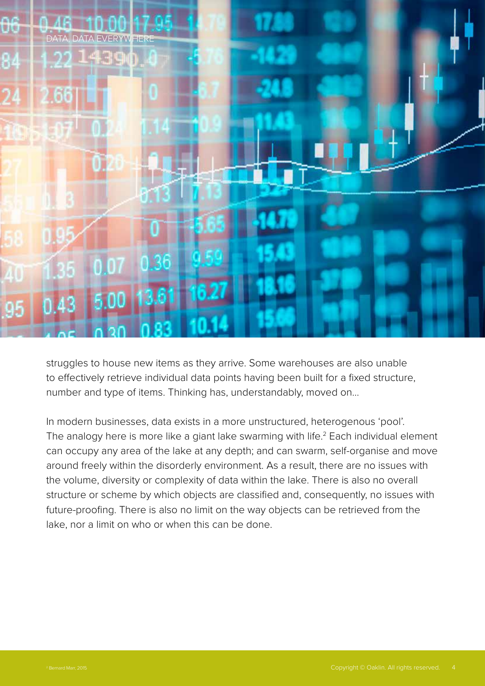

struggles to house new items as they arrive. Some warehouses are also unable to effectively retrieve individual data points having been built for a fixed structure, number and type of items. Thinking has, understandably, moved on…

In modern businesses, data exists in a more unstructured, heterogenous 'pool'. The analogy here is more like a giant lake swarming with life.<sup>2</sup> Each individual element can occupy any area of the lake at any depth; and can swarm, self-organise and move around freely within the disorderly environment. As a result, there are no issues with the volume, diversity or complexity of data within the lake. There is also no overall structure or scheme by which objects are classified and, consequently, no issues with future-proofing. There is also no limit on the way objects can be retrieved from the lake, nor a limit on who or when this can be done.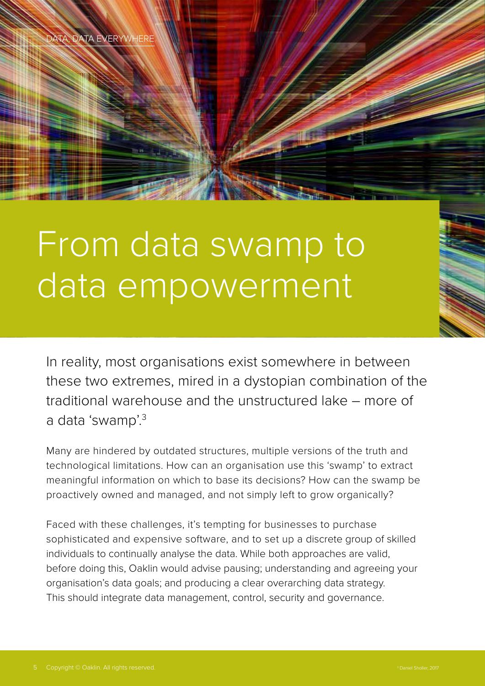### From data swamp to data empowerment

In reality, most organisations exist somewhere in between these two extremes, mired in a dystopian combination of the traditional warehouse and the unstructured lake – more of a data 'swamp'.3

Many are hindered by outdated structures, multiple versions of the truth and technological limitations. How can an organisation use this 'swamp' to extract meaningful information on which to base its decisions? How can the swamp be proactively owned and managed, and not simply left to grow organically?

Faced with these challenges, it's tempting for businesses to purchase sophisticated and expensive software, and to set up a discrete group of skilled individuals to continually analyse the data. While both approaches are valid, before doing this, Oaklin would advise pausing; understanding and agreeing your organisation's data goals; and producing a clear overarching data strategy. This should integrate data management, control, security and governance.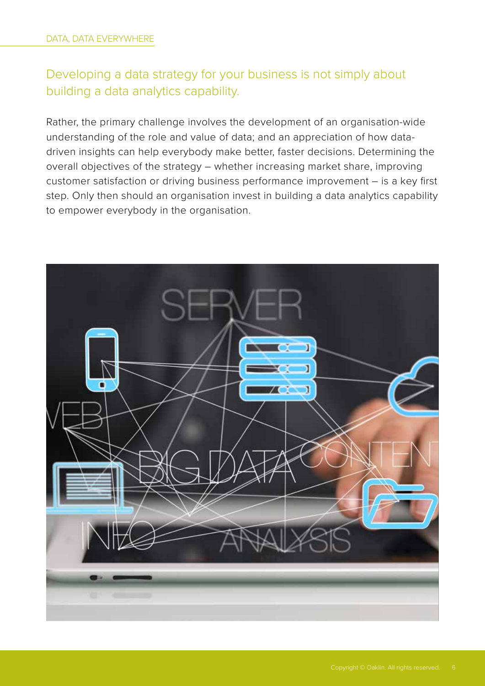### Developing a data strategy for your business is not simply about building a data analytics capability.

Rather, the primary challenge involves the development of an organisation-wide understanding of the role and value of data; and an appreciation of how datadriven insights can help everybody make better, faster decisions. Determining the overall objectives of the strategy – whether increasing market share, improving customer satisfaction or driving business performance improvement – is a key first step. Only then should an organisation invest in building a data analytics capability to empower everybody in the organisation.

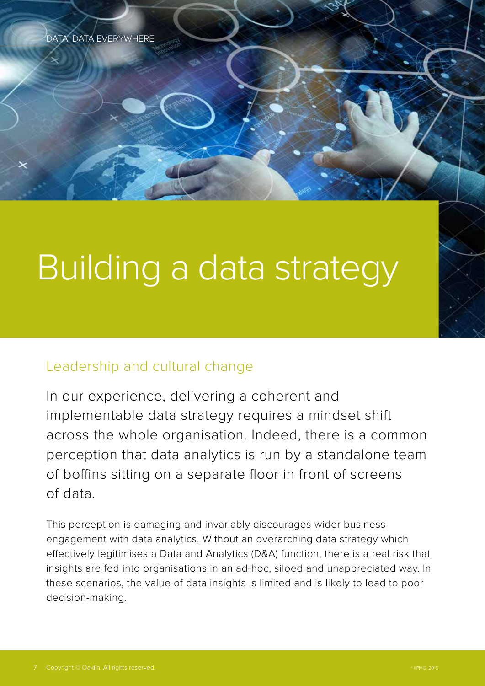### Building a data strategy

### Leadership and cultural change

In our experience, delivering a coherent and implementable data strategy requires a mindset shift across the whole organisation. Indeed, there is a common perception that data analytics is run by a standalone team of boffins sitting on a separate floor in front of screens of data.

This perception is damaging and invariably discourages wider business engagement with data analytics. Without an overarching data strategy which effectively legitimises a Data and Analytics (D&A) function, there is a real risk that insights are fed into organisations in an ad-hoc, siloed and unappreciated way. In these scenarios, the value of data insights is limited and is likely to lead to poor decision-making.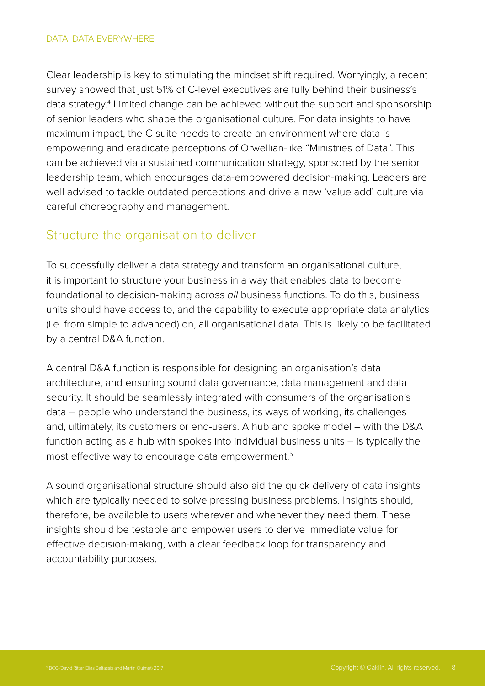Clear leadership is key to stimulating the mindset shift required. Worryingly, a recent survey showed that just 51% of C-level executives are fully behind their business's data strategy.4 Limited change can be achieved without the support and sponsorship of senior leaders who shape the organisational culture. For data insights to have maximum impact, the C-suite needs to create an environment where data is empowering and eradicate perceptions of Orwellian-like "Ministries of Data". This can be achieved via a sustained communication strategy, sponsored by the senior leadership team, which encourages data-empowered decision-making. Leaders are well advised to tackle outdated perceptions and drive a new 'value add' culture via careful choreography and management.

#### Structure the organisation to deliver

To successfully deliver a data strategy and transform an organisational culture, it is important to structure your business in a way that enables data to become foundational to decision-making across all business functions. To do this, business units should have access to, and the capability to execute appropriate data analytics (i.e. from simple to advanced) on, all organisational data. This is likely to be facilitated by a central D&A function.

A central D&A function is responsible for designing an organisation's data architecture, and ensuring sound data governance, data management and data security. It should be seamlessly integrated with consumers of the organisation's data – people who understand the business, its ways of working, its challenges and, ultimately, its customers or end-users. A hub and spoke model – with the D&A function acting as a hub with spokes into individual business units – is typically the most effective way to encourage data empowerment.<sup>5</sup>

A sound organisational structure should also aid the quick delivery of data insights which are typically needed to solve pressing business problems. Insights should, therefore, be available to users wherever and whenever they need them. These insights should be testable and empower users to derive immediate value for effective decision-making, with a clear feedback loop for transparency and accountability purposes.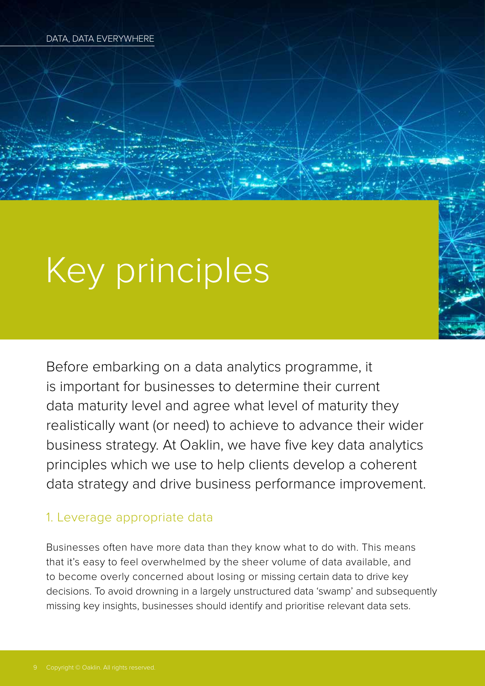# Key principles

Before embarking on a data analytics programme, it is important for businesses to determine their current data maturity level and agree what level of maturity they realistically want (or need) to achieve to advance their wider business strategy. At Oaklin, we have five key data analytics principles which we use to help clients develop a coherent data strategy and drive business performance improvement.

### 1. Leverage appropriate data

Businesses often have more data than they know what to do with. This means that it's easy to feel overwhelmed by the sheer volume of data available, and to become overly concerned about losing or missing certain data to drive key decisions. To avoid drowning in a largely unstructured data 'swamp' and subsequently missing key insights, businesses should identify and prioritise relevant data sets.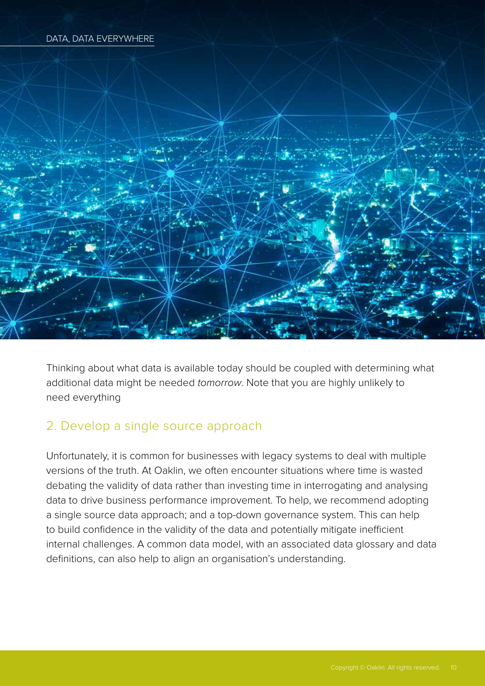

Thinking about what data is available today should be coupled with determining what additional data might be needed tomorrow. Note that you are highly unlikely to need everything

### 2. Develop a single source approach

Unfortunately, it is common for businesses with legacy systems to deal with multiple versions of the truth. At Oaklin, we often encounter situations where time is wasted debating the validity of data rather than investing time in interrogating and analysing data to drive business performance improvement. To help, we recommend adopting a single source data approach; and a top-down governance system. This can help to build confidence in the validity of the data and potentially mitigate inefficient internal challenges. A common data model, with an associated data glossary and data definitions, can also help to align an organisation's understanding.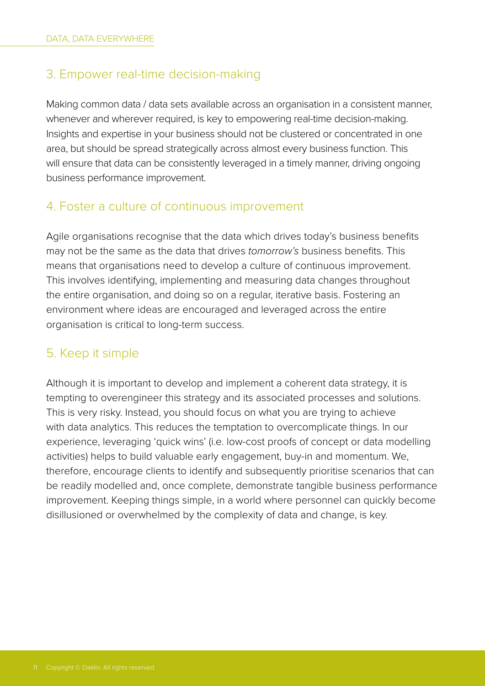#### 3. Empower real-time decision-making

Making common data / data sets available across an organisation in a consistent manner, whenever and wherever required, is key to empowering real-time decision-making. Insights and expertise in your business should not be clustered or concentrated in one area, but should be spread strategically across almost every business function. This will ensure that data can be consistently leveraged in a timely manner, driving ongoing business performance improvement.

### 4. Foster a culture of continuous improvement

Agile organisations recognise that the data which drives today's business benefits may not be the same as the data that drives tomorrow's business benefits. This means that organisations need to develop a culture of continuous improvement. This involves identifying, implementing and measuring data changes throughout the entire organisation, and doing so on a regular, iterative basis. Fostering an environment where ideas are encouraged and leveraged across the entire organisation is critical to long-term success.

### 5. Keep it simple

Although it is important to develop and implement a coherent data strategy, it is tempting to overengineer this strategy and its associated processes and solutions. This is very risky. Instead, you should focus on what you are trying to achieve with data analytics. This reduces the temptation to overcomplicate things. In our experience, leveraging 'quick wins' (i.e. low-cost proofs of concept or data modelling activities) helps to build valuable early engagement, buy-in and momentum. We, therefore, encourage clients to identify and subsequently prioritise scenarios that can be readily modelled and, once complete, demonstrate tangible business performance improvement. Keeping things simple, in a world where personnel can quickly become disillusioned or overwhelmed by the complexity of data and change, is key.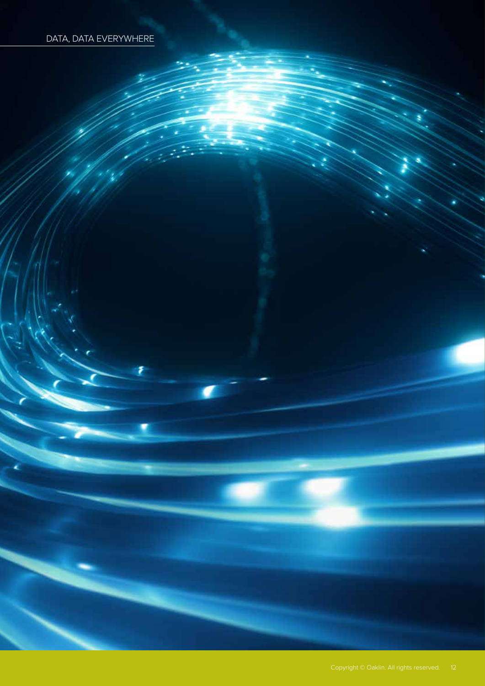5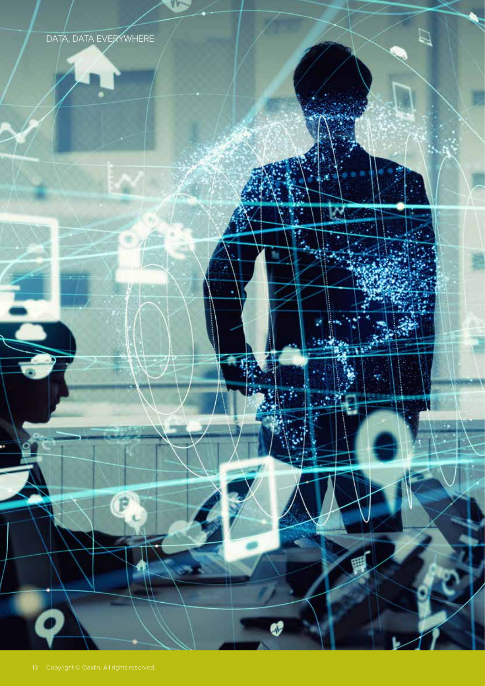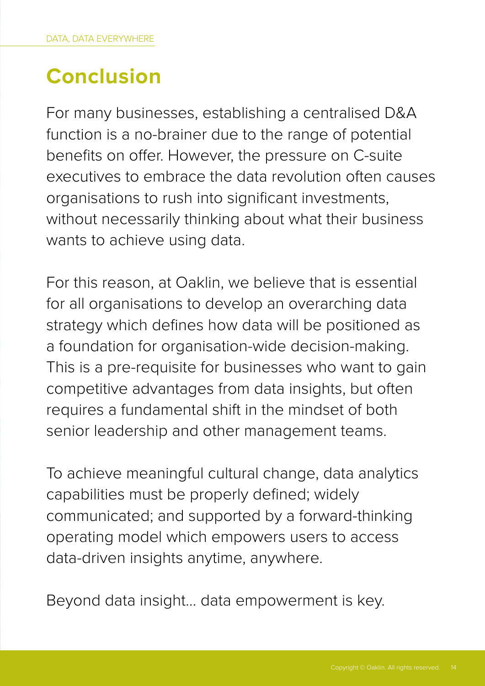### **Conclusion**

For many businesses, establishing a centralised D&A function is a no-brainer due to the range of potential benefits on offer. However, the pressure on C-suite executives to embrace the data revolution often causes organisations to rush into significant investments, without necessarily thinking about what their business wants to achieve using data.

For this reason, at Oaklin, we believe that is essential for all organisations to develop an overarching data strategy which defines how data will be positioned as a foundation for organisation-wide decision-making. This is a pre-requisite for businesses who want to gain competitive advantages from data insights, but often requires a fundamental shift in the mindset of both senior leadership and other management teams.

To achieve meaningful cultural change, data analytics capabilities must be properly defined; widely communicated; and supported by a forward-thinking operating model which empowers users to access data-driven insights anytime, anywhere.

Beyond data insight… data empowerment is key.